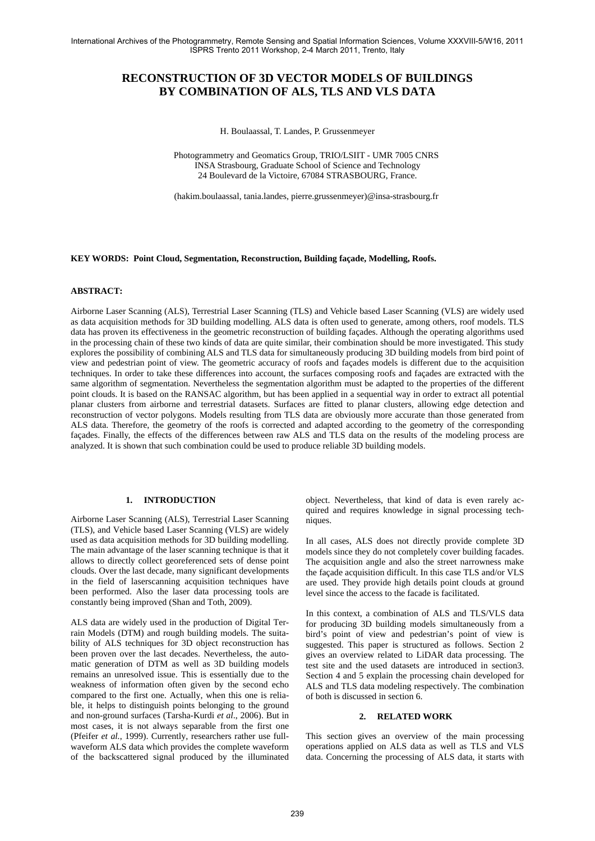# **RECONSTRUCTION OF 3D VECTOR MODELS OF BUILDINGS BY COMBINATION OF ALS, TLS AND VLS DATA**

H. Boulaassal, T. Landes, P. Grussenmeyer

 Photogrammetry and Geomatics Group, TRIO/LSIIT - UMR 7005 CNRS INSA Strasbourg, Graduate School of Science and Technology 24 Boulevard de la Victoire, 67084 STRASBOURG, France.

(hakim.boulaassal, tania.landes, pierre.grussenmeyer)@insa-strasbourg.fr

# **KEY WORDS: Point Cloud, Segmentation, Reconstruction, Building façade, Modelling, Roofs.**

#### **ABSTRACT:**

Airborne Laser Scanning (ALS), Terrestrial Laser Scanning (TLS) and Vehicle based Laser Scanning (VLS) are widely used as data acquisition methods for 3D building modelling. ALS data is often used to generate, among others, roof models. TLS data has proven its effectiveness in the geometric reconstruction of building façades. Although the operating algorithms used in the processing chain of these two kinds of data are quite similar, their combination should be more investigated. This study explores the possibility of combining ALS and TLS data for simultaneously producing 3D building models from bird point of view and pedestrian point of view. The geometric accuracy of roofs and façades models is different due to the acquisition techniques. In order to take these differences into account, the surfaces composing roofs and façades are extracted with the same algorithm of segmentation. Nevertheless the segmentation algorithm must be adapted to the properties of the different point clouds. It is based on the RANSAC algorithm, but has been applied in a sequential way in order to extract all potential planar clusters from airborne and terrestrial datasets. Surfaces are fitted to planar clusters, allowing edge detection and reconstruction of vector polygons. Models resulting from TLS data are obviously more accurate than those generated from ALS data. Therefore, the geometry of the roofs is corrected and adapted according to the geometry of the corresponding façades. Finally, the effects of the differences between raw ALS and TLS data on the results of the modeling process are analyzed. It is shown that such combination could be used to produce reliable 3D building models.

# **1. INTRODUCTION**

Airborne Laser Scanning (ALS), Terrestrial Laser Scanning (TLS), and Vehicle based Laser Scanning (VLS) are widely used as data acquisition methods for 3D building modelling. The main advantage of the laser scanning technique is that it allows to directly collect georeferenced sets of dense point clouds. Over the last decade, many significant developments in the field of laserscanning acquisition techniques have been performed. Also the laser data processing tools are constantly being improved (Shan and Toth, 2009).

ALS data are widely used in the production of Digital Terrain Models (DTM) and rough building models. The suitability of ALS techniques for 3D object reconstruction has been proven over the last decades. Nevertheless, the automatic generation of DTM as well as 3D building models remains an unresolved issue. This is essentially due to the weakness of information often given by the second echo compared to the first one. Actually, when this one is reliable, it helps to distinguish points belonging to the ground and non-ground surfaces (Tarsha-Kurdi *et al*., 2006). But in most cases, it is not always separable from the first one (Pfeifer *et al.*, 1999). Currently, researchers rather use fullwaveform ALS data which provides the complete waveform of the backscattered signal produced by the illuminated object. Nevertheless, that kind of data is even rarely acquired and requires knowledge in signal processing techniques.

In all cases, ALS does not directly provide complete 3D models since they do not completely cover building facades. The acquisition angle and also the street narrowness make the façade acquisition difficult. In this case TLS and/or VLS are used. They provide high details point clouds at ground level since the access to the facade is facilitated.

In this context, a combination of ALS and TLS/VLS data for producing 3D building models simultaneously from a bird's point of view and pedestrian's point of view is suggested. This paper is structured as follows. Section 2 gives an overview related to LiDAR data processing. The test site and the used datasets are introduced in section3. Section 4 and 5 explain the processing chain developed for ALS and TLS data modeling respectively. The combination of both is discussed in section 6.

### **2. RELATED WORK**

This section gives an overview of the main processing operations applied on ALS data as well as TLS and VLS data. Concerning the processing of ALS data, it starts with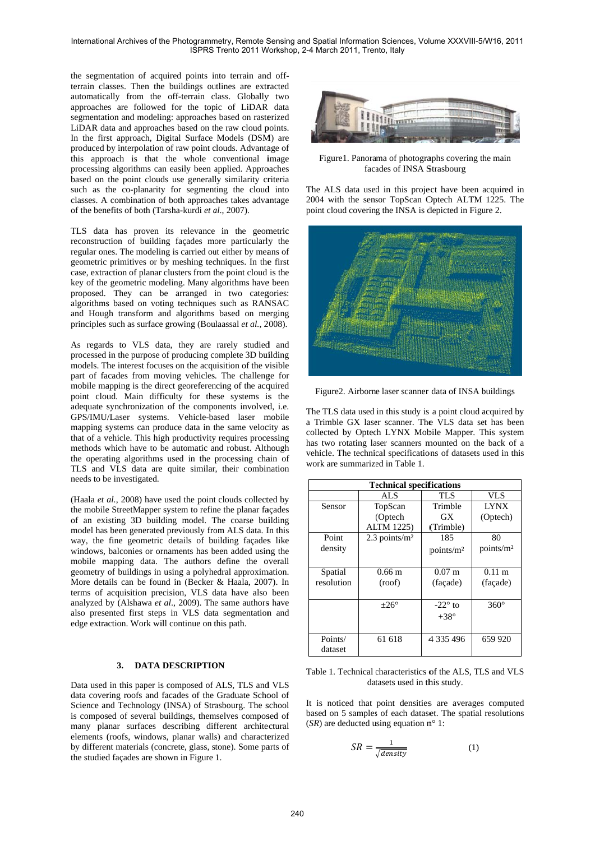the segmentation of acquired points into terrain and offterrain classes. Then the buildings outlines are extracted automatically from the off-terrain class. Globally two approaches are followed for the topic of LiDAR data segmentation and modeling: approaches based on rasterized LiDAR data and approaches based on the raw cloud points. In the first approach. Digital Surface Models (DSM) are produced by interpolation of raw point clouds. Advantage of this approach is that the whole conventional image processing algorithms can easily been applied. Approaches based on the point clouds use generally similarity criteria such as the co-planarity for segmenting the cloud into classes. A combination of both approaches takes advantage of the benefits of both (Tarsha-kurdi et al., 2007).

TLS data has proven its relevance in the geometric reconstruction of building facades more particularly the regular ones. The modeling is carried out either by means of geometric primitives or by meshing techniques. In the first case, extraction of planar clusters from the point cloud is the key of the geometric modeling. Many algorithms have been proposed. They can be arranged in two categories: algorithms based on voting techniques such as RANSAC and Hough transform and algorithms based on merging principles such as surface growing (Boulaassal et al., 2008).

As regards to VLS data, they are rarely studied and processed in the purpose of producing complete 3D building models. The interest focuses on the acquisition of the visible part of facades from moving vehicles. The challenge for mobile mapping is the direct georeferencing of the acquired point cloud. Main difficulty for these systems is the adequate synchronization of the components involved, i.e. GPS/IMU/Laser systems. Vehicle-based laser mobile mapping systems can produce data in the same velocity as that of a vehicle. This high productivity requires processing methods which have to be automatic and robust. Although the operating algorithms used in the processing chain of TLS and VLS data are quite similar, their combination needs to be investigated.

(Haala et al., 2008) have used the point clouds collected by the mobile StreetMapper system to refine the planar façades of an existing 3D building model. The coarse building model has been generated previously from ALS data. In this way, the fine geometric details of building façades like windows, balconies or ornaments has been added using the mobile mapping data. The authors define the overall geometry of buildings in using a polyhedral approximation. More details can be found in (Becker & Haala, 2007). In terms of acquisition precision, VLS data have also been analyzed by (Alshawa et al., 2009). The same authors have also presented first steps in VLS data segmentation and edge extraction. Work will continue on this path.

# 3. DATA DESCRIPTION

Data used in this paper is composed of ALS, TLS and VLS data covering roofs and facades of the Graduate School of Science and Technology (INSA) of Strasbourg. The school is composed of several buildings, themselves composed of many planar surfaces describing different architectural elements (roofs, windows, planar walls) and characterized by different materials (concrete, glass, stone). Some parts of the studied façades are shown in Figure 1.



Figure1. Panorama of photographs covering the main facades of INSA Strasbourg

The ALS data used in this project have been acquired in 2004 with the sensor TopScan Optech ALTM 1225. The point cloud covering the INSA is depicted in Figure 2.



Figure2. Airborne laser scanner data of INSA buildings

The TLS data used in this study is a point cloud acquired by a Trimble GX laser scanner. The VLS data set has been collected by Optech LYNX Mobile Mapper. This system has two rotating laser scanners mounted on the back of a vehicle. The technical specifications of datasets used in this work are summarized in Table 1.

| <b>Technical specifications</b> |                             |                       |                       |
|---------------------------------|-----------------------------|-----------------------|-----------------------|
|                                 | AL S                        | TLS                   | VLS                   |
| Sensor                          | TopScan                     | Trimble               | <b>LYNX</b>           |
|                                 | (Optech                     | GX                    | (Optech)              |
|                                 | <b>ALTM 1225)</b>           | (Trimble)             |                       |
| Point                           | $2.3$ points/m <sup>2</sup> | 185                   | 80                    |
| density                         |                             | points/m <sup>2</sup> | points/m <sup>2</sup> |
|                                 |                             |                       |                       |
| Spatial                         | $0.66 \text{ m}$            | $0.07 \;{\rm m}$      | $0.11 \; \mathrm{m}$  |
| resolution                      | (roof)                      | (façade)              | (façade)              |
|                                 |                             |                       |                       |
|                                 | $\pm 26^\circ$              | $-22^{\circ}$ to      | $360^\circ$           |
|                                 |                             | $+38^\circ$           |                       |
|                                 |                             |                       |                       |
| Points/                         | 61 618                      | 4 335 496             | 659 920               |
| dataset                         |                             |                       |                       |

Table 1. Technical characteristics of the ALS, TLS and VLS datasets used in this study.

It is noticed that point densities are averages computed based on 5 samples of each dataset. The spatial resolutions  $(SR)$  are deducted using equation  $m^{\circ}$  1:

$$
SR = \frac{1}{\sqrt{density}}\tag{1}
$$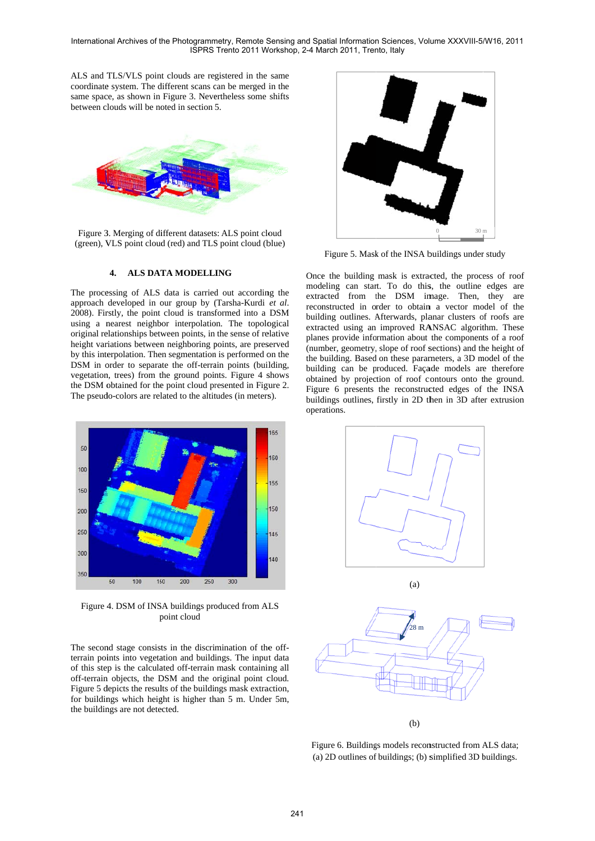ALS and TLS/VLS point clouds are registered in the same coordinate system. The different scans can be merged in the same space, as shown in Figure 3. Nevertheless some shifts between clouds will be noted in section 5.



Figure 3. Merging of different datasets: ALS point cloud (green), VLS point cloud (red) and TLS point cloud (blue)

#### **4.** ALS DATA MODELLING

The processing of ALS data is carried out according the approach developed in our group by (Tarsha-Kurdi et al. 2008). Firstly, the point cloud is transformed into a DSM using a nearest neighbor interpolation. The topological original relationships between points, in the sense of relative height variations between neighboring points, are preserved by this interpolation. Then segmentation is performed on the DSM in order to separate the off-terrain points (building, vegetation, trees) from the ground points. Figure 4 shows the DSM obtained for the point cloud presented in Figure 2. The pseudo-colors are related to the altitudes (in meters).



Figure 4. DSM of INSA buildings produced from ALS p point cloud

The second stage consists in the discrimination of the offterrain points into vegetation and buildings. The input data of this step is the calculated off-terrain mask containing all off-terrain objects, the DSM and the original point cloud. Figure 5 depicts the results of the buildings mask extraction, for buildings which height is higher than 5 m. Under 5m, the buildings are not detected.



Figure 5. Mask of the INSA buildings under study

Once the building mask is extracted, the process of roof modeling can start. To do this, the outline edges are extracted from the DSM image. Then, they are reconstructed in order to obtain a vector model of the building outlines. Afterwards, planar clusters of roofs are extracted using an improved RANSAC algorithm. These planes provide information about the components of a roof (number, geometry, slope of roof sections) and the height of the building. Based on these parameters, a 3D model of the building can be produced. Façade models are therefore obtained by projection of roof contours onto the ground. Figure 6 presents the reconstructed edges of the INSA buildings outlines, firstly in 2D then in 3D after extrusion oper ations.





Figure 6. Buildings models reconstructed from ALS data; (a) ) 2D outlines of f buildings; (b) s simplified 3D b buildings.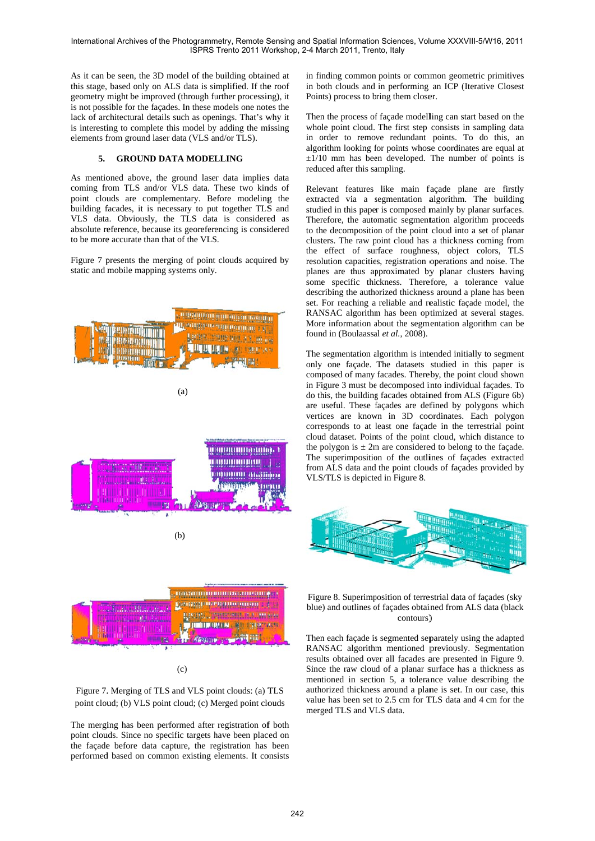As it can be seen, the 3D model of the building obtained at this stage, based only on ALS data is simplified. If the roof geometry might be improved (through further processing), it is not possible for the facades. In these models one notes the lack of architectural details such as openings. That's why it is interesting to complete this model by adding the missing elements from ground laser data (VLS and/or TLS).

#### **GROUND DATA MODELLING**  $5.$

As mentioned above, the ground laser data implies data coming from TLS and/or VLS data. These two kinds of point clouds are complementary. Before modeling the building facades, it is necessary to put together TLS and VLS data. Obviously, the TLS data is considered as absolute reference, because its georeferencing is considered to be more accurate than that of the VLS.

Figure 7 presents the merging of point clouds acquired by static and mobile mapping systems only.



 $(c)$ 

Figure 7. Merging of TLS and VLS point clouds: (a) TLS point cloud; (b) VLS point cloud; (c) Merged point clouds

The merging has been performed after registration of both point clouds. Since no specific targets have been placed on the façade before data capture, the registration has been performed based on common existing elements. It consists

in finding common points or common geometric primitives in both clouds and in performing an ICP (Iterative Closest Points) process to bring them closer.

Then the process of façade modelling can start based on the whole point cloud. The first step consists in sampling data in order to remove redundant points. To do this, an algorithm looking for points whose coordinates are equal at  $\pm 1/10$  mm has been developed. The number of points is reduced after this sampling.

Relevant features like main façade plane are firstly extracted via a segmentation algorithm. The building studied in this paper is composed mainly by planar surfaces. Therefore, the automatic segmentation algorithm proceeds to the decomposition of the point cloud into a set of planar clusters. The raw point cloud has a thickness coming from the effect of surface roughness, object colors, TLS resolution capacities, registration operations and noise. The planes are thus approximated by planar clusters having some specific thickness. Therefore, a tolerance value describing the authorized thickness around a plane has been set. For reaching a reliable and realistic facade model, the RANSAC algorithm has been optimized at several stages. More information about the segmentation algorithm can be found in (Boulaassal et al., 2008).

The segmentation algorithm is intended initially to segment only one façade. The datasets studied in this paper is composed of many facades. Thereby, the point cloud shown in Figure 3 must be decomposed into individual façades. To do this, the building facades obtained from ALS (Figure 6b) are useful. These façades are defined by polygons which vertices are known in 3D coordinates. Each polygon corresponds to at least one facade in the terrestrial point cloud dataset. Points of the point cloud, which distance to the polygon is  $\pm 2m$  are considered to belong to the façade. The superimposition of the outlines of façades extracted from ALS data and the point clouds of façades provided by VLS/TLS is depicted in Figure 8.



Figure 8. Superimposition of terrestrial data of facades (sky blue) and outlines of facades obtained from ALS data (black contours)

Then each façade is segmented separately using the adapted RANSAC algorithm mentioned previously. Segmentation results obtained over all facades are presented in Figure 9. Since the raw cloud of a planar surface has a thickness as mentioned in section 5, a tolerance value describing the authorized thickness around a plane is set. In our case, this value has been set to 2.5 cm for TLS data and 4 cm for the merged TLS and VLS data.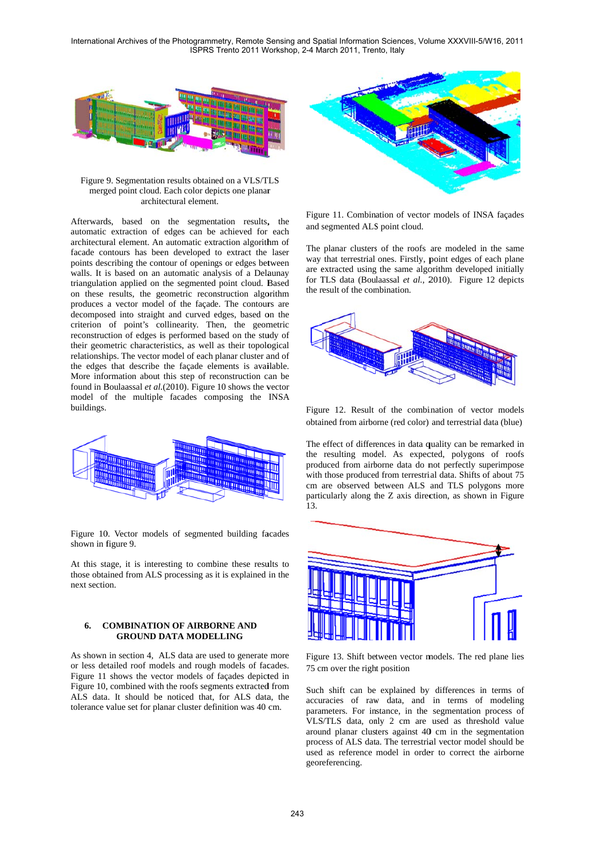

Figure 9. Segmentation results obtained on a VLS/TLS merg ged point cloud. Each color dep picts one planar merged point cloud. Each color depicts one planar<br>architectural element.<br>Afterwards, based on the segmentation results, the architectural element.

automatic extraction of edges can be achieved for each architectural element. An automatic extraction algorithm of facade contours has been developed to extract the laser points describing the contour of openings or edges between walls. It is based on an automatic analysis of a Delaunay triangulation applied on the segmented point cloud. Based on these results, the geometric reconstruction algorithm produces a vector model of the façade. The contours are decomposed into straight and curved edges, based on the criterion of point's collinearity. Then, the geometric reconstruction of edges is performed based on the study of their geometric characteristics, as well as their topological relationships. The vector model of each planar cluster and of the edges that describe the façade elements is available. More information about this step of reconstruction can be found in Boulaassal et al. (2010). Figure 10 shows the vector model of the multiple facades composing the INSA buildings.



Figure 10. Vector models of segmented building facades shown in f figure 9.

At this stage, it is interesting to combine these results to those obtained from ALS processing as it is explained in the next section.

#### **6. COMBINATION OF AIRBORNE AND GROUND DATA MODELLING**

As shown in section 4, ALS data are used to generate more or less detailed roof models and rough models of facades. Figure 11 shows the vector models of façades depicted in Figure 10, combined with the roofs segments extracted from ALS data. It should be noticed that, for ALS data, the tolerance value set for planar cluster definition was 40 cm.



Figure 11. Combination of vector models of INSA façades and s segmented ALS S point cloud.

The planar clusters of the roofs are modeled in the same way that terrestrial ones. Firstly, p point edges of each plane are extracted using the same algorithm developed initially for TLS data (Boulaassal et al., 2010). Figure 12 depicts the result of the combination.



Figure 12. Result of the combination of vector models obtained from airborne (red color) and terrestrial data (blue)

The effect of differences in data quality can be remarked in the resulting model. As expected, polygons of roofs produced from airborne data do not perfectly superimpose with those produced from terrestrial data. Shifts of about 75 cm are observed between ALS and TLS polygons more particularly along the Z axis direction, as shown in Figure 13.



Figure 13. Shift between vector models. The red plane lies 75 cm over the right position

Such shift can be explained by differences in terms of accuracies of raw data, and in terms of modeling parameters. For instance, in the segmentation process of VLS/TLS data, only 2 cm are used as threshold value around planar clusters against 40 cm in the segmentation process of ALS data. The terrestrial vector model should be used as reference model in order to correct the airborne geor eferencing.